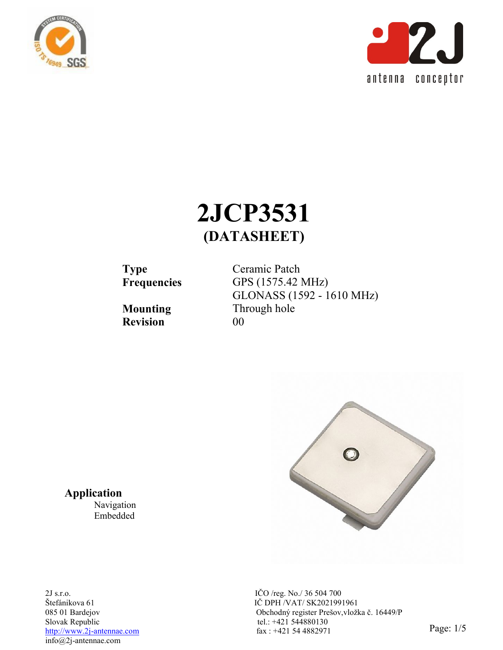



# **2JCP3531 (DATASHEET)**

**Revision** 00

**Type** Ceramic Patch<br>**Frequencies** GPS (1575.42) **Frequencies** GPS (1575.42 MHz) GLONASS (1592 - 1610 MHz) **Mounting** Through hole



IČ DPH /VAT/ SK2021991961 085 01 Bardejov Obchodný register Prešov,vložka č. 16449/P  $\frac{\text{http://www.2j-antennae.com}}{\text{http://www.2j-antennae.com}}$  Page: 1/5

**Application**

Navigation Embedded

2J s.r.o. IČO /reg. No./ 36 504 700 Slovak Republic tel.: +421 544880130 info@2j-antennae.com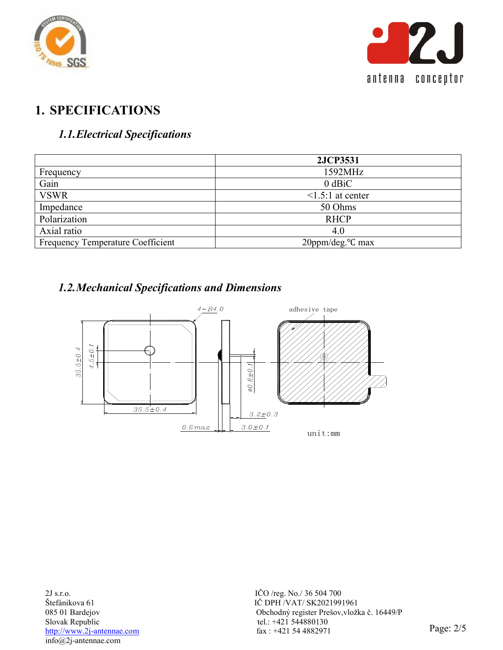



## **1. SPECIFICATIONS**

## *1.1.Electrical Specifications*

| 2JCP3531                      |
|-------------------------------|
| 1592MHz                       |
| $0$ dBiC                      |
| $\leq$ 1.5:1 at center        |
| 50 Ohms                       |
| <b>RHCP</b>                   |
| 4.0                           |
| 20ppm/deg. <sup>o</sup> C max |
|                               |

## *1.2.Mechanical Specifications and Dimensions*

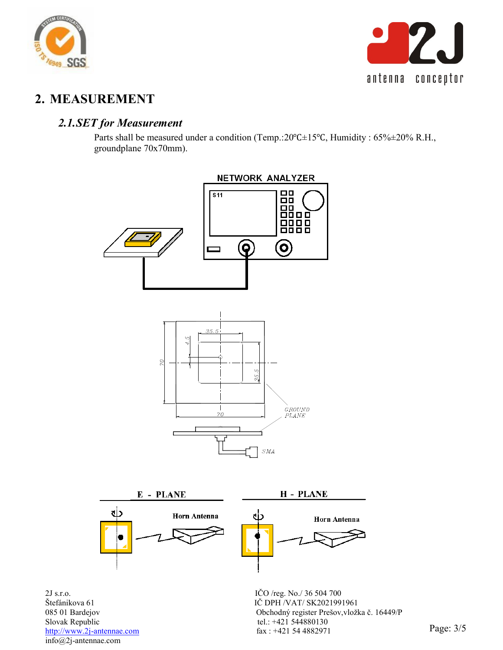



## **2. MEASUREMENT**

#### *2.1.SET for Measurement*

Parts shall be measured under a condition (Temp.:20°C±15°C, Humidity : 65%±20% R.H., groundplane 70x70mm).

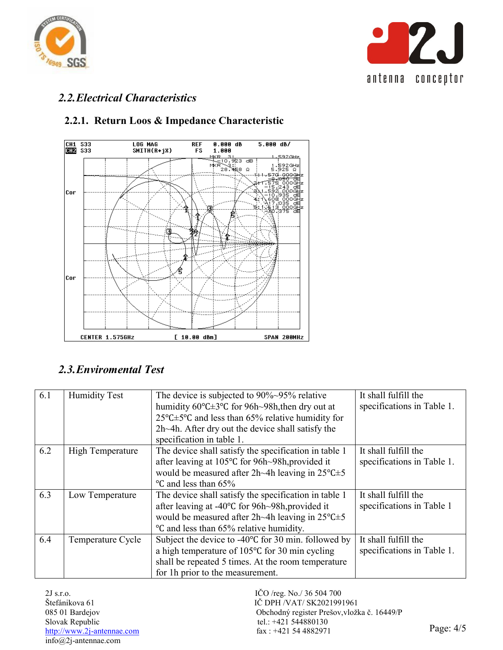



## *2.2.Electrical Characteristics*



#### **2.2.1. Return Loos & Impedance Characteristic**

### *2.3.Enviromental Test*

| 6.1 | <b>Humidity Test</b>    | The device is subjected to $90\%~95\%$ relative                               | It shall fulfill the       |
|-----|-------------------------|-------------------------------------------------------------------------------|----------------------------|
|     |                         | humidity $60^{\circ}$ C $\pm 3^{\circ}$ C for 96h $\sim$ 98h, then dry out at | specifications in Table 1. |
|     |                         | $25^{\circ}$ C $\pm$ 5°C and less than 65% relative humidity for              |                            |
|     |                         | 2h~4h. After dry out the device shall satisfy the                             |                            |
|     |                         | specification in table 1.                                                     |                            |
| 6.2 | <b>High Temperature</b> | The device shall satisfy the specification in table 1                         | It shall fulfill the       |
|     |                         | after leaving at 105°C for 96h~98h, provided it                               | specifications in Table 1. |
|     |                         | would be measured after 2h~4h leaving in $25^{\circ}$ C $\pm$ 5               |                            |
|     |                         | °C and less than 65%                                                          |                            |
| 6.3 | Low Temperature         | The device shall satisfy the specification in table 1                         | It shall fulfill the       |
|     |                         | after leaving at -40°C for 96h~98h, provided it                               | specifications in Table 1  |
|     |                         | would be measured after 2h~4h leaving in $25^{\circ}$ C $\pm$ 5               |                            |
|     |                         | °C and less than 65% relative humidity.                                       |                            |
| 6.4 | Temperature Cycle       | Subject the device to $-40^{\circ}$ C for 30 min. followed by                 | It shall fulfill the       |
|     |                         | a high temperature of 105 $\degree$ C for 30 min cycling                      | specifications in Table 1. |
|     |                         | shall be repeated 5 times. At the room temperature                            |                            |
|     |                         | for 1h prior to the measurement.                                              |                            |

2J s.r.o. IČO /reg. No./ 36 504 700 Slovak Republic tel.: +421 544880130 info@2j-antennae.com

IČ DPH /VAT/ SK2021991961 085 01 Bardejov Obchodný register Prešov,vložka č. 16449/P  $\frac{\text{http://www.2j-antennae.com}}{\text{http://www.2j-antennae.com}}$  fax : +421 54 4882971 Page: 4/5